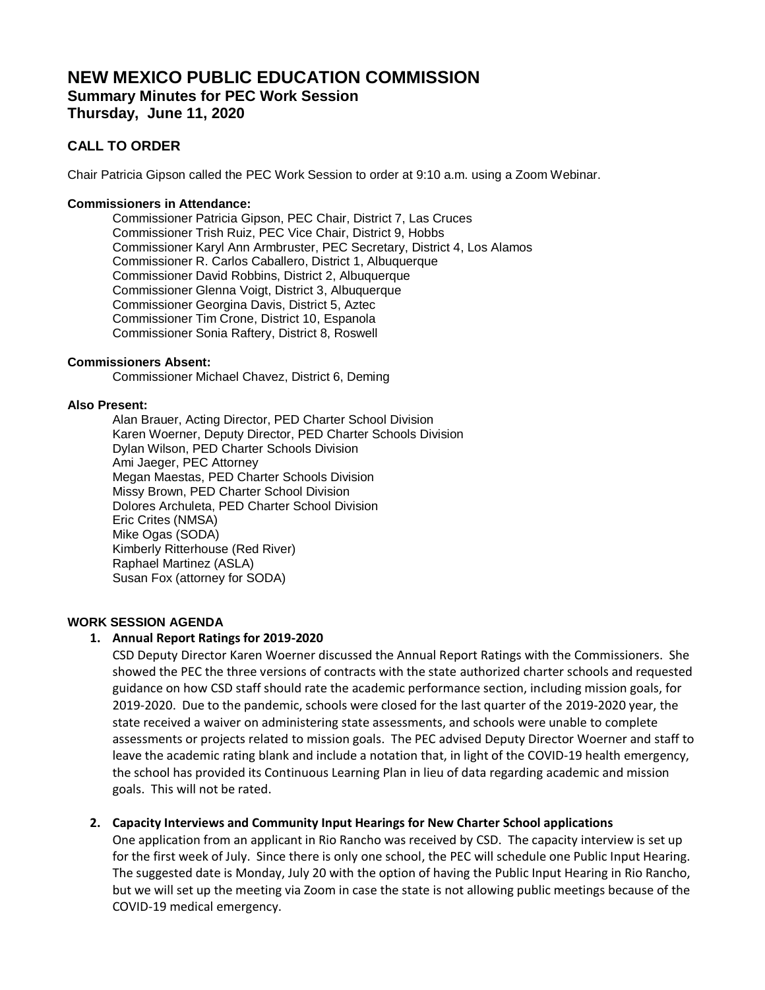# **NEW MEXICO PUBLIC EDUCATION COMMISSION Summary Minutes for PEC Work Session Thursday, June 11, 2020**

## **CALL TO ORDER**

Chair Patricia Gipson called the PEC Work Session to order at 9:10 a.m. using a Zoom Webinar.

#### **Commissioners in Attendance:**

Commissioner Patricia Gipson, PEC Chair, District 7, Las Cruces Commissioner Trish Ruiz, PEC Vice Chair, District 9, Hobbs Commissioner Karyl Ann Armbruster, PEC Secretary, District 4, Los Alamos Commissioner R. Carlos Caballero, District 1, Albuquerque Commissioner David Robbins, District 2, Albuquerque Commissioner Glenna Voigt, District 3, Albuquerque Commissioner Georgina Davis, District 5, Aztec Commissioner Tim Crone, District 10, Espanola Commissioner Sonia Raftery, District 8, Roswell

#### **Commissioners Absent:**

Commissioner Michael Chavez, District 6, Deming

#### **Also Present:**

Alan Brauer, Acting Director, PED Charter School Division Karen Woerner, Deputy Director, PED Charter Schools Division Dylan Wilson, PED Charter Schools Division Ami Jaeger, PEC Attorney Megan Maestas, PED Charter Schools Division Missy Brown, PED Charter School Division Dolores Archuleta, PED Charter School Division Eric Crites (NMSA) Mike Ogas (SODA) Kimberly Ritterhouse (Red River) Raphael Martinez (ASLA) Susan Fox (attorney for SODA)

#### **WORK SESSION AGENDA**

#### **1. Annual Report Ratings for 2019-2020**

CSD Deputy Director Karen Woerner discussed the Annual Report Ratings with the Commissioners. She showed the PEC the three versions of contracts with the state authorized charter schools and requested guidance on how CSD staff should rate the academic performance section, including mission goals, for 2019-2020. Due to the pandemic, schools were closed for the last quarter of the 2019-2020 year, the state received a waiver on administering state assessments, and schools were unable to complete assessments or projects related to mission goals. The PEC advised Deputy Director Woerner and staff to leave the academic rating blank and include a notation that, in light of the COVID-19 health emergency, the school has provided its Continuous Learning Plan in lieu of data regarding academic and mission goals. This will not be rated.

#### **2. Capacity Interviews and Community Input Hearings for New Charter School applications**

One application from an applicant in Rio Rancho was received by CSD. The capacity interview is set up for the first week of July. Since there is only one school, the PEC will schedule one Public Input Hearing. The suggested date is Monday, July 20 with the option of having the Public Input Hearing in Rio Rancho, but we will set up the meeting via Zoom in case the state is not allowing public meetings because of the COVID-19 medical emergency.